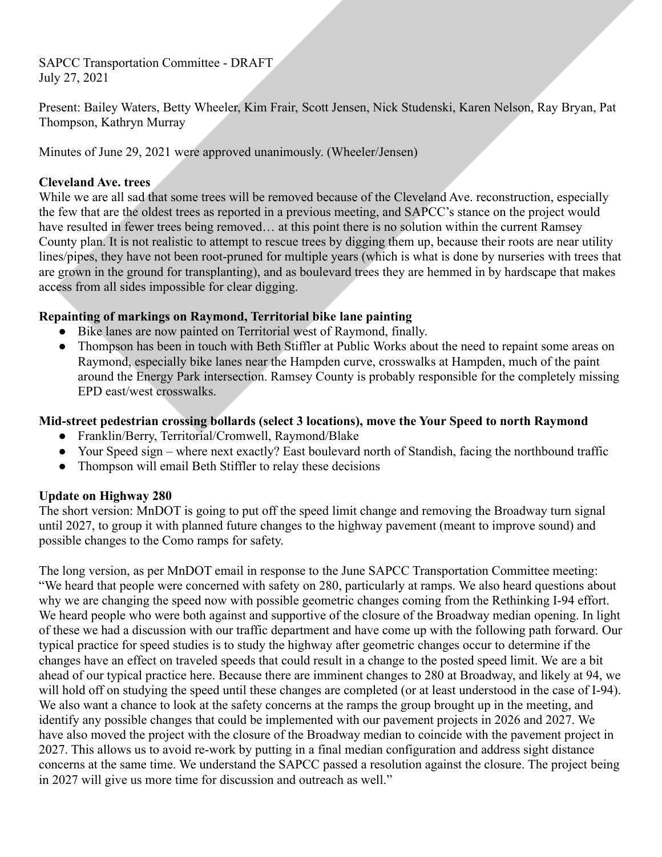SAPCC Transportation Committee - DRAFT July 27, 2021

Present: Bailey Waters, Betty Wheeler, Kim Frair, Scott Jensen, Nick Studenski, Karen Nelson, Ray Bryan, Pat Thompson, Kathryn Murray

Minutes of June 29, 2021 were approved unanimously. (Wheeler/Jensen)

## **Cleveland Ave. trees**

While we are all sad that some trees will be removed because of the Cleveland Ave. reconstruction, especially the few that are the oldest trees as reported in a previous meeting, and SAPCC's stance on the project would have resulted in fewer trees being removed... at this point there is no solution within the current Ramsey County plan. It is not realistic to attempt to rescue trees by digging them up, because their roots are near utility lines/pipes, they have not been root-pruned for multiple years (which is what is done by nurseries with trees that are grown in the ground for transplanting), and as boulevard trees they are hemmed in by hardscape that makes access from all sides impossible for clear digging.

## **Repainting of markings on Raymond, Territorial bike lane painting**

- Bike lanes are now painted on Territorial west of Raymond, finally.
- Thompson has been in touch with Beth Stiffler at Public Works about the need to repaint some areas on Raymond, especially bike lanes near the Hampden curve, crosswalks at Hampden, much of the paint around the Energy Park intersection. Ramsey County is probably responsible for the completely missing EPD east/west crosswalks.

### **Mid-street pedestrian crossing bollards (select 3 locations), move the Your Speed to north Raymond**

- Franklin/Berry, Territorial/Cromwell, Raymond/Blake
- Your Speed sign where next exactly? East boulevard north of Standish, facing the northbound traffic
- Thompson will email Beth Stiffler to relay these decisions

### **Update on Highway 280**

The short version: MnDOT is going to put off the speed limit change and removing the Broadway turn signal until 2027, to group it with planned future changes to the highway pavement (meant to improve sound) and possible changes to the Como ramps for safety.

The long version, as per MnDOT email in response to the June SAPCC Transportation Committee meeting: "We heard that people were concerned with safety on 280, particularly at ramps. We also heard questions about why we are changing the speed now with possible geometric changes coming from the Rethinking I-94 effort. We heard people who were both against and supportive of the closure of the Broadway median opening. In light of these we had a discussion with our traffic department and have come up with the following path forward. Our typical practice for speed studies is to study the highway after geometric changes occur to determine if the changes have an effect on traveled speeds that could result in a change to the posted speed limit. We are a bit ahead of our typical practice here. Because there are imminent changes to 280 at Broadway, and likely at 94, we will hold off on studying the speed until these changes are completed (or at least understood in the case of I-94). We also want a chance to look at the safety concerns at the ramps the group brought up in the meeting, and identify any possible changes that could be implemented with our pavement projects in 2026 and 2027. We have also moved the project with the closure of the Broadway median to coincide with the pavement project in 2027. This allows us to avoid re-work by putting in a final median configuration and address sight distance concerns at the same time. We understand the SAPCC passed a resolution against the closure. The project being in 2027 will give us more time for discussion and outreach as well."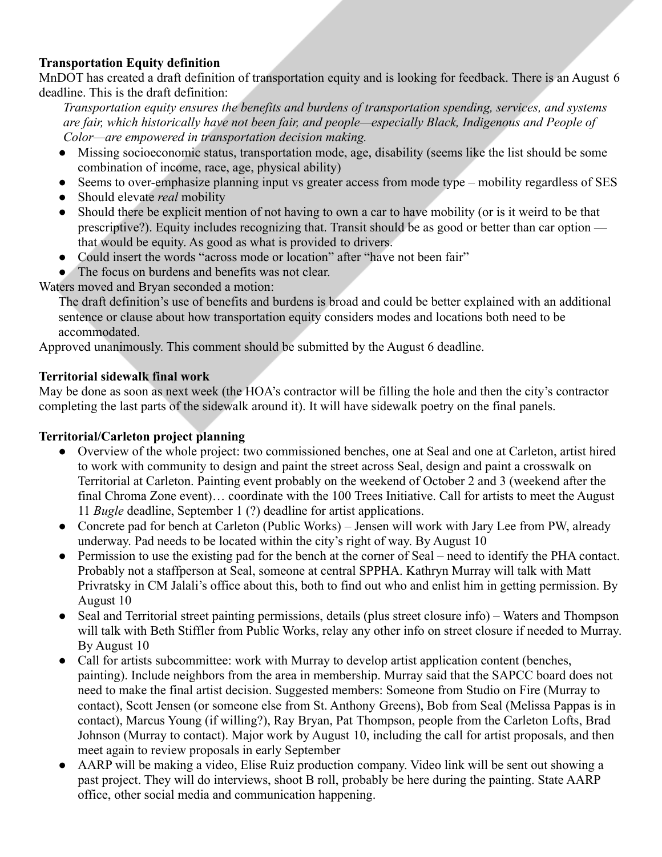# **Transportation Equity definition**

MnDOT has created a draft definition of transportation equity and is looking for feedback. There is an August 6 deadline. This is the draft definition:

*Transportation equity ensures the benefits and burdens of transportation spending, services, and systems are fair, which historically have not been fair, and people—especially Black, Indigenous and People of Color—are empowered in transportation decision making.*

- Missing socioeconomic status, transportation mode, age, disability (seems like the list should be some combination of income, race, age, physical ability)
- Seems to over-emphasize planning input vs greater access from mode type mobility regardless of SES
- Should elevate *real* mobility
- Should there be explicit mention of not having to own a car to have mobility (or is it weird to be that prescriptive?). Equity includes recognizing that. Transit should be as good or better than car option that would be equity. As good as what is provided to drivers.
- Could insert the words "across mode or location" after "have not been fair"
- The focus on burdens and benefits was not clear.

Waters moved and Bryan seconded a motion:

The draft definition's use of benefits and burdens is broad and could be better explained with an additional sentence or clause about how transportation equity considers modes and locations both need to be accommodated.

Approved unanimously. This comment should be submitted by the August 6 deadline.

### **Territorial sidewalk final work**

May be done as soon as next week (the HOA's contractor will be filling the hole and then the city's contractor completing the last parts of the sidewalk around it). It will have sidewalk poetry on the final panels.

### **Territorial/Carleton project planning**

- Overview of the whole project: two commissioned benches, one at Seal and one at Carleton, artist hired to work with community to design and paint the street across Seal, design and paint a crosswalk on Territorial at Carleton. Painting event probably on the weekend of October 2 and 3 (weekend after the final Chroma Zone event)... coordinate with the 100 Trees Initiative. Call for artists to meet the August 11 *Bugle* deadline, September 1 (?) deadline for artist applications.
- Concrete pad for bench at Carleton (Public Works) Jensen will work with Jary Lee from PW, already underway. Pad needs to be located within the city's right of way. By August 10
- Permission to use the existing pad for the bench at the corner of Seal need to identify the PHA contact. Probably not a staffperson at Seal, someone at central SPPHA. Kathryn Murray will talk with Matt Privratsky in CM Jalali's office about this, both to find out who and enlist him in getting permission. By August 10
- Seal and Territorial street painting permissions, details (plus street closure info) Waters and Thompson will talk with Beth Stiffler from Public Works, relay any other info on street closure if needed to Murray. By August 10
- Call for artists subcommittee: work with Murray to develop artist application content (benches, painting). Include neighbors from the area in membership. Murray said that the SAPCC board does not need to make the final artist decision. Suggested members: Someone from Studio on Fire (Murray to contact), Scott Jensen (or someone else from St. Anthony Greens), Bob from Seal (Melissa Pappas is in contact), Marcus Young (if willing?), Ray Bryan, Pat Thompson, people from the Carleton Lofts, Brad Johnson (Murray to contact). Major work by August 10, including the call for artist proposals, and then meet again to review proposals in early September
- AARP will be making a video, Elise Ruiz production company. Video link will be sent out showing a past project. They will do interviews, shoot B roll, probably be here during the painting. State AARP office, other social media and communication happening.